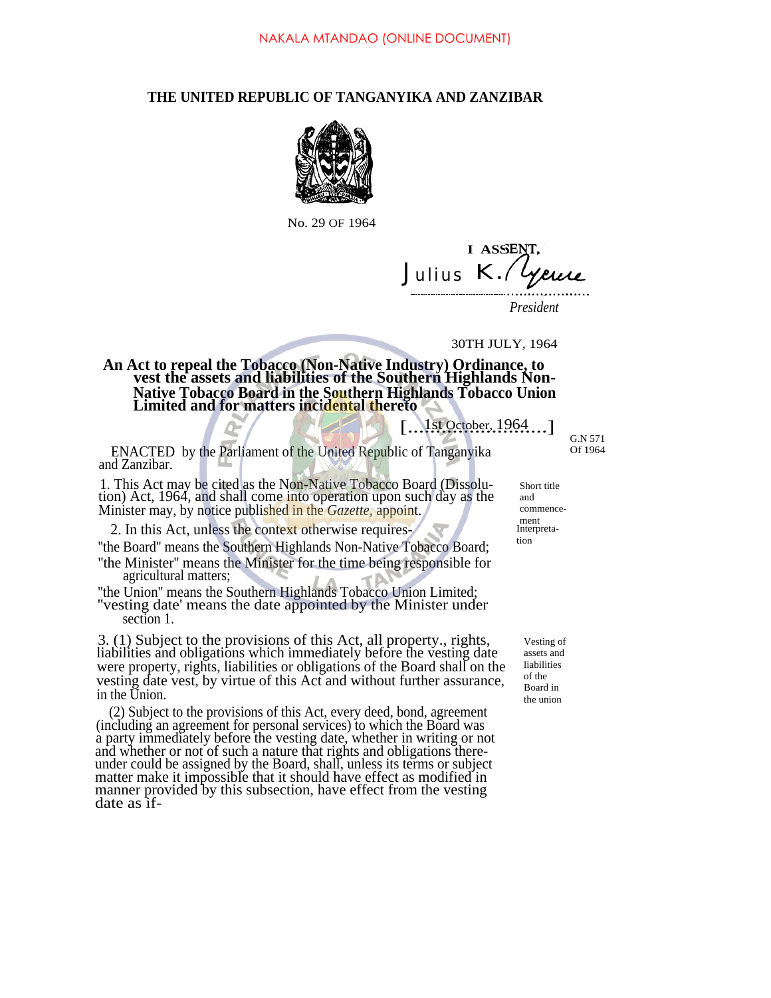## **THE UNITED REPUBLIC OF TANGANYIKA AND ZANZIBAR**



No. 29 OF 1964

*Julius* **1/1,111,111,111 I ASSE** *K.*

*President*

30TH JULY, 1964

**An Act to repeal the Tobacco (Non-Native Industry) Ordinance, to vest the assets and liabilities of the Southern Highlands Non-Native Tobacco Board in the Southern Highlands Tobacco Union Limited and for matters incidental thereto**

[....1st October, 1964....]

ENACTED by the Parliament of the United Republic of Tanganyika Of 1964 and Zanzibar.

1. This Act may be cited as the Non-Native Tobacco Board (Dissolution) Act, 1964, and shall come into operation upon such day as the Minister may, by notice published in the *Gazette,* appoint.

2. In this Act, unless the context otherwise requires-

''the Board'' means the Southern Highlands Non-Native Tobacco Board; ''the Minister'' means the Minister for the time being responsible for

agricultural matters; ''the Union'' means the Southern Highlands Tobacco Union Limited;

''vesting date' means the date appointed by the Minister under section 1.

3. (1) Subject to the provisions of this Act, all property., rights, liabilities and obligations which immediately before the vesting date were property, rights, liabilities or obligations of the Board shall on the vesting date vest, by virtue of this Act and without further assurance, in the Union.

(2) Subject to the provisions of this Act, every deed, bond, agreement (including an agreement for personal services) to which the Board was a party immediately before the vesting date, whether in writing or not and whether or not of such a nature that rights and obligations thereunder could be assigned by the Board, shall, unless its terms or subject matter make it impossible that it should have effect as modified in manner provided by this subsection, have effect from the vesting date as ifG.N 571

Short title and commencement Interpretation

> Vesting of assets and liabilities of the Board in the union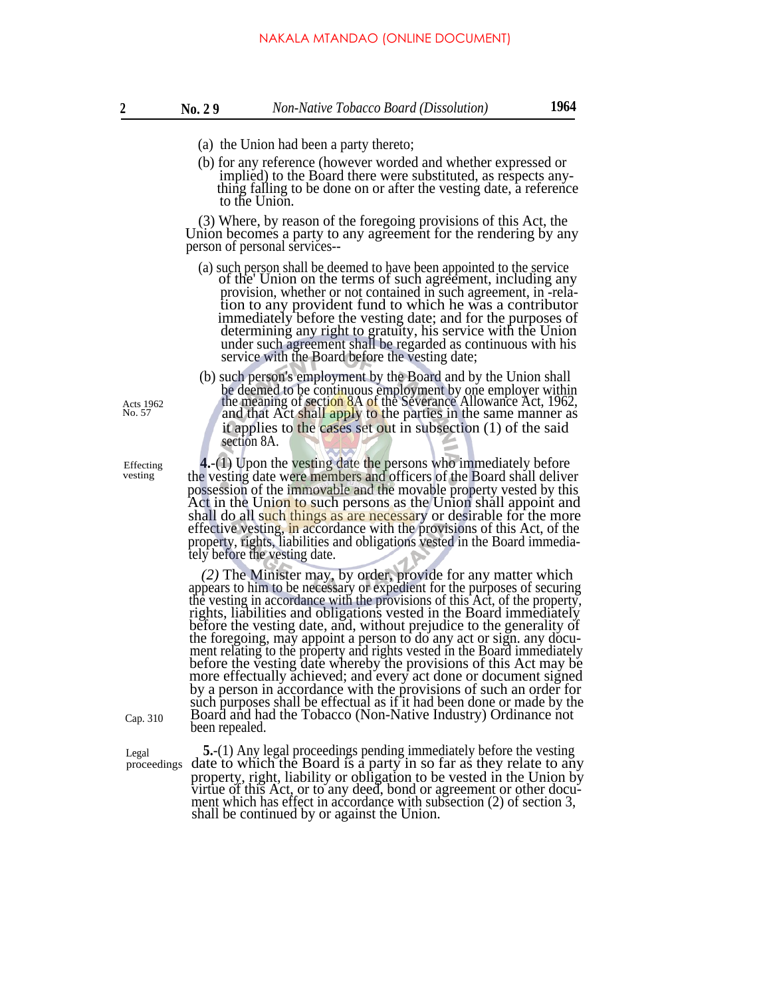- (a) the Union had been a party thereto;
- (b) for any reference (however worded and whether expressed or implied) to the Board there were substituted, as respects anything falling to be done on or after the vesting date, a reference to the Union.

(3) Where, by reason of the foregoing provisions of this Act, the Union becomes a party to any agreement for the rendering by any person of personal services--

- (a) such person shall be deemed to have been appointed to the service of the Union on the terms of such agreement, including any provision, whether or not contained in such agreement, in -relation to any provident fund to which he was a contributor immediately before the vesting date; and for the purposes of determining any right to gratuity, his service with the Union under such agreement shall be regarded as continuous with his service with the Board before the vesting date;
- (b) such person's employment by the Board and by the Union shall be deemed to be continuous employment by one employer within the meaning of section 8A of the Severance Allowance Act, 1962, and that Act shall apply to the parties in the same manner as it applies to the cases set out in subsection (1) of the said section 8A.

**4.**-(1) Upon the vesting date the persons who immediately before the vesting date were members and officers of the Board shall deliver possession of the immovable and the movable property vested by this Act in the Union to such persons as the Union shall appoint and shall do all such things as are necessary or desirable for the more effective vesting, in accordance with the provisions of this Act, of the property, rights, liabilities and obligations vested in the Board immediately before the vesting date.

*(2)* The Minister may, by order, provide for any matter which appears to him to be necessary or expedient for the purposes of securing the vesting in accordance with the provisions of this Act, of the property, rights, liabilities and obligations vested in the Board immediately before the vesting date, and, without prejudice to the generality of the foregoing, may appoint a person to do any act or sign. any document relating to the property and rights vested in the Board immediately before the vesting date whereby the provisions of this Act may be more effectually achieved; and every act done or document signed by a person in accordance with the provisions of such an order for such purposes shall be effectual as if it had been done or made by the Board and had the Tobacco (Non-Native Industry) Ordinance not Cap. 310 Board and ha

Legal **5.**-(1) Any legal proceedings pending immediately before the vesting proceedings date to which the Board is a party in so far as they relate to any property, right, liability or obligation to be vested in the Union by virtue of this Act, or to any deed, bond or agreement or other document which has effect in accordance with subsection (2) of section 3, shall be continued by or against the Union.

Acts 1962 No. 57

Effecting vesting